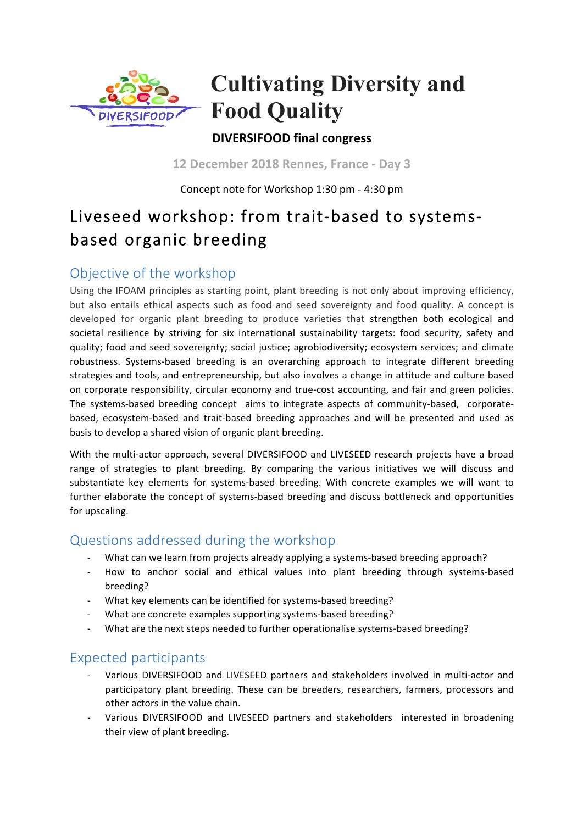

# **Cultivating Diversity and Food Quality**

### **DIVERSIFOOD final congress**

**12 December 2018 Rennes, France - Day 3**

Concept note for Workshop 1:30 pm - 4:30 pm

## Liveseed workshop: from trait-based to systemsbased organic breeding

### Objective of the workshop

Using the IFOAM principles as starting point, plant breeding is not only about improving efficiency, but also entails ethical aspects such as food and seed sovereignty and food quality. A concept is developed for organic plant breeding to produce varieties that strengthen both ecological and societal resilience by striving for six international sustainability targets: food security, safety and quality; food and seed sovereignty; social justice; agrobiodiversity; ecosystem services; and climate robustness. Systems-based breeding is an overarching approach to integrate different breeding strategies and tools, and entrepreneurship, but also involves a change in attitude and culture based on corporate responsibility, circular economy and true-cost accounting, and fair and green policies. The systems-based breeding concept aims to integrate aspects of community-based, corporatebased, ecosystem-based and trait-based breeding approaches and will be presented and used as basis to develop a shared vision of organic plant breeding.

With the multi-actor approach, several DIVERSIFOOD and LIVESEED research projects have a broad range of strategies to plant breeding. By comparing the various initiatives we will discuss and substantiate key elements for systems-based breeding. With concrete examples we will want to further elaborate the concept of systems-based breeding and discuss bottleneck and opportunities for upscaling. 

### Questions addressed during the workshop

- What can we learn from projects already applying a systems-based breeding approach?
- How to anchor social and ethical values into plant breeding through systems-based breeding?
- What key elements can be identified for systems-based breeding?
- What are concrete examples supporting systems-based breeding?
- What are the next steps needed to further operationalise systems-based breeding?

### Expected participants

- Various DIVERSIFOOD and LIVESEED partners and stakeholders involved in multi-actor and participatory plant breeding. These can be breeders, researchers, farmers, processors and other actors in the value chain.
- Various DIVERSIFOOD and LIVESEED partners and stakeholders interested in broadening their view of plant breeding.